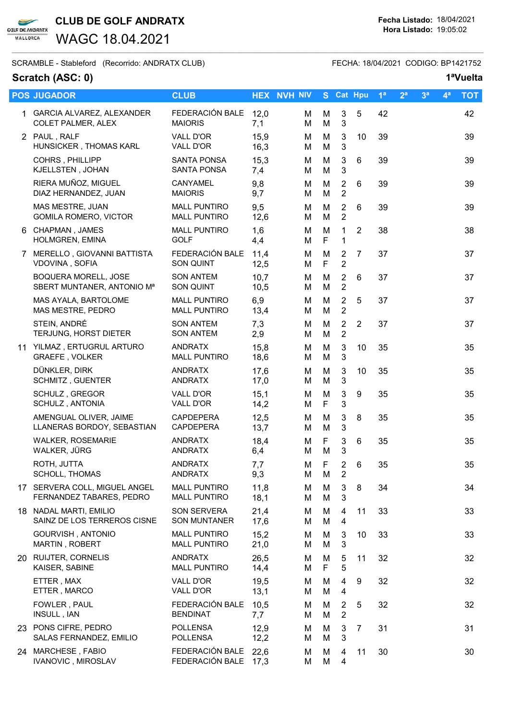

WAGC 18.04.2021

SCRAMBLE - Stableford (Recorrido: ANDRATX CLUB) FECHA: 18/04/2021 CODIGO: BP1421752

### Scratch (ASC: 0) 1<sup>a</sup>Vuelta

### 1 GARCIA ALVAREZ, ALEXANDER FEDERACIÓN BALE 12,0 M M 3 5 42 42 COLET PALMER, ALEX MAIORIS 7.1 M M 3 2 PAUL , RALF VALL D'OR 15,9 M M 3 10 39 39 HUNSICKER , THOMAS KARL VALL D'OR 16,3 M M 3 COHRS , PHILLIPP SANTA PONSA 15,3 M M 3 6 39 39 KJELLSTEN , JOHAN SANTA PONSA 7,4 M M 3 RIERA MUÑOZ, MIGUEL CANYAMEL 9.8 M M 2 6 39 39 39 DIAZ HERNANDEZ, JUAN MAIORIS 9,7 M M 2 MAS MESTRE, JUAN MALL PUNTIRO 9,5 M M 2 6 39 39 GOMILA ROMERO, VICTOR MALL PUNTIRO 12.6 MM M 2 6 CHAPMAN , JAMES MALL PUNTIRO 1,6 M M 1 2 38 38 HOLMGREN, EMINA GOLF 44 M F 1 7 MERELLO , GIOVANNI BATTISTA FEDERACIÓN BALE 11,4 M M 2 7 37 37 VDOVINA , SOFIA SON QUINT 12.5 M F 2 BOQUERA MORELL, JOSE SON ANTEM 10,7 M M 2 6 37 37 SBERT MUNTANER, ANTONIO M<sup>a</sup> SON QUINT 10.5 M M 2 MAS AYALA, BARTOLOME MALL PUNTIRO 6.9 MM 2 5 37 37 MAS MESTRE, PEDRO MALL PUNTIRO 13.4 MM M 2 STEIN, ANDRÉ SON ANTEM 7,3 M M 2 2 37 37 TERJUNG, HORST DIETER SON ANTEM 2,9 M M 2 11 YILMAZ , ERTUGRUL ARTURO ANDRATX 15,8 M M 3 10 35 35 GRAEFE, VOLKER MALL PUNTIRO 18,6 MM 3 DÜNKLER, DIRK ANDRATX 17,6 M M 3 10 35 35 SCHMITZ, GUENTER ANDRATX 17,0 M M 3 SCHULZ , GREGOR VALL D'OR 15,1 M M 3 9 35 35 SCHULZ, ANTONIA VALL D'OR 14,2 M F 3 AMENGUAL OLIVER, JAIME CAPDEPERA 12.5 M M 3 8 35 35 35 LLANERAS BORDOY, SEBASTIAN CAPDEPERA 13.7 M M 3 WALKER, ROSEMARIE ANDRATX 18,4 M F 3 6 35 35 WALKER, JÜRG ANDRATX 6,4 M M 3 ROTH, JUTTA ANDRATX 7,7 M F 2 6 35 35 SCHOLL, THOMAS ANDRATX 9,3 M M 2 17 SERVERA COLL, MIGUEL ANGEL MALL PUNTIRO 11.8 M M 3 8 34 34 34 FERNANDEZ TABARES, PEDRO MALL PUNTIRO 18,1 M M 3 18 NADAL MARTI, EMILIO SON SERVERA 21.4 M M 4 11 33 33 SAINZ DE LOS TERREROS CISNE SON MUNTANER 17.6 M M 4 GOURVISH , ANTONIO MALL PUNTIRO 15,2 M M 3 10 33 33

 $\_$  ,  $\_$  ,  $\_$  ,  $\_$  ,  $\_$  ,  $\_$  ,  $\_$  ,  $\_$  ,  $\_$  ,  $\_$  ,  $\_$  ,  $\_$  ,  $\_$  ,  $\_$  ,  $\_$  ,  $\_$  ,  $\_$  ,  $\_$  ,  $\_$  ,  $\_$  ,  $\_$  ,  $\_$  ,  $\_$  ,  $\_$  ,  $\_$  ,  $\_$  ,  $\_$  ,  $\_$  ,  $\_$  ,  $\_$  ,  $\_$  ,  $\_$  ,  $\_$  ,  $\_$  ,  $\_$  ,  $\_$  ,  $\_$  ,

POS JUGADOR CLUB CLUB HEX NVH NIV S Cat Hpu 1<sup>a</sup> 2<sup>a</sup> 3<sup>a</sup> 4<sup>a</sup> TOT

| FOWLER, PAUL<br>INSULL, IAN                     | FEDERACIÓN BALE 10.5<br><b>BENDINAT</b>      | 7.7          | M M 2 5<br>M M 2 |      | -32  | 32 |
|-------------------------------------------------|----------------------------------------------|--------------|------------------|------|------|----|
| 23 PONS CIFRE, PEDRO<br>SALAS FERNANDEZ, EMILIO | <b>POLLENSA</b><br><b>POLLENSA</b>           | 12,9<br>12.2 | M M 3 7<br>M M 3 |      | - 31 | 31 |
| 24 MARCHESE, FABIO<br><b>IVANOVIC, MIROSLAV</b> | FEDERACIÓN BALE 22.6<br>FEDERACIÓN BALE 17.3 |              | M M 4<br>M M 4   | - 11 | 30   | 30 |

20 RUIJTER, CORNELIS ANDRATX 26,5 M M 5 11 32 32

ETTER , MAX VALL D'OR 19,5 M M 4 9 32 32

MARTIN, ROBERT MALL PUNTIRO 21,0 M M 3

KAISER, SABINE MALL PUNTIRO 14,4 M F 5

ETTER , MARCO VALL D'OR 13,1 M M 4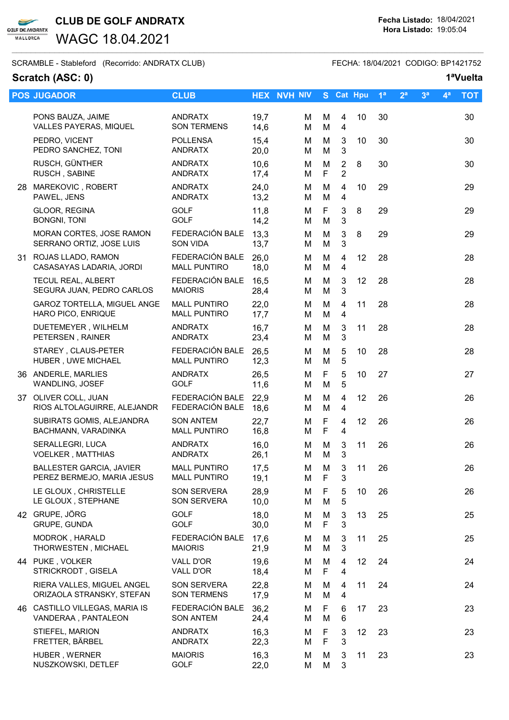$\blacktriangleright$ **GOLF DE ANDRATX** MALLORCA

WAGC 18.04.2021

SCRAMBLE - Stableford (Recorrido: ANDRATX CLUB) FECHA: 18/04/2021 CODIGO: BP1421752

### Scratch (ASC: 0) 1<sup>a</sup>Vuelta

| <b>POS JUGADOR</b>                                            | <b>CLUB</b>                                |              | <b>HEX NVH NIV</b> |         | S Cat Hpu                                 |        | 1 <sup>a</sup> | 2 <sup>a</sup> | 3 <sup>a</sup> | 4 <sup>a</sup> | <b>TOT</b> |
|---------------------------------------------------------------|--------------------------------------------|--------------|--------------------|---------|-------------------------------------------|--------|----------------|----------------|----------------|----------------|------------|
| PONS BAUZA, JAIME<br>VALLES PAYERAS, MIQUEL                   | <b>ANDRATX</b><br><b>SON TERMENS</b>       | 19,7<br>14,6 | М<br>М             | M<br>M  | $\overline{\mathbf{4}}$<br>$\overline{4}$ | 10     | 30             |                |                |                | 30         |
| PEDRO, VICENT<br>PEDRO SANCHEZ, TONI                          | <b>POLLENSA</b><br><b>ANDRATX</b>          | 15,4<br>20,0 | М<br>M             | M<br>M  | $\mathbf{3}$<br>3                         | 10     | 30             |                |                |                | 30         |
| RUSCH, GÜNTHER<br>RUSCH, SABINE                               | <b>ANDRATX</b><br><b>ANDRATX</b>           | 10,6<br>17,4 | м<br>М             | M<br>F  | $\overline{2}$<br>$\overline{2}$          | 8      | 30             |                |                |                | 30         |
| 28 MAREKOVIC, ROBERT<br>PAWEL, JENS                           | <b>ANDRATX</b><br><b>ANDRATX</b>           | 24,0<br>13,2 | М<br>M             | M<br>M  | 4<br>4                                    | 10     | 29             |                |                |                | 29         |
| GLOOR, REGINA<br><b>BONGNI, TONI</b>                          | <b>GOLF</b><br><b>GOLF</b>                 | 11,8<br>14,2 | М<br>М             | F<br>M  | 3<br>3                                    | $\, 8$ | 29             |                |                |                | 29         |
| MORAN CORTES, JOSE RAMON<br>SERRANO ORTIZ, JOSE LUIS          | FEDERACIÓN BALE<br><b>SON VIDA</b>         | 13,3<br>13,7 | М<br>М             | M<br>M  | $\mathbf{3}$<br>3                         | 8      | 29             |                |                |                | 29         |
| 31 ROJAS LLADO, RAMON<br>CASASAYAS LADARIA, JORDI             | FEDERACIÓN BALE<br><b>MALL PUNTIRO</b>     | 26,0<br>18,0 | М<br>М             | M<br>M  | 4<br>4                                    | 12     | 28             |                |                |                | 28         |
| TECUL REAL, ALBERT<br>SEGURA JUAN, PEDRO CARLOS               | FEDERACIÓN BALE<br><b>MAIORIS</b>          | 16,5<br>28,4 | М<br>М             | M<br>M  | 3<br>3                                    | 12     | 28             |                |                |                | 28         |
| GAROZ TORTELLA, MIGUEL ANGE<br>HARO PICO, ENRIQUE             | <b>MALL PUNTIRO</b><br><b>MALL PUNTIRO</b> | 22,0<br>17,7 | М<br>М             | M<br>M  | 4<br>4                                    | 11     | 28             |                |                |                | 28         |
| DUETEMEYER, WILHELM<br>PETERSEN, RAINER                       | <b>ANDRATX</b><br><b>ANDRATX</b>           | 16,7<br>23,4 | М<br>М             | M<br>M  | 3<br>3                                    | 11     | 28             |                |                |                | 28         |
| STAREY, CLAUS-PETER<br>HUBER, UWE MICHAEL                     | FEDERACIÓN BALE<br><b>MALL PUNTIRO</b>     | 26,5<br>12,3 | М<br>М             | M<br>M  | 5<br>5                                    | 10     | 28             |                |                |                | 28         |
| 36 ANDERLE, MARLIES<br>WANDLING, JOSEF                        | <b>ANDRATX</b><br><b>GOLF</b>              | 26,5<br>11,6 | М<br>М             | F<br>M  | 5<br>5                                    | 10     | 27             |                |                |                | 27         |
| 37 OLIVER COLL, JUAN<br>RIOS ALTOLAGUIRRE, ALEJANDR           | FEDERACIÓN BALE<br>FEDERACIÓN BALE         | 22,9<br>18,6 | М<br>M             | M<br>M  | 4<br>$\overline{4}$                       | 12     | 26             |                |                |                | 26         |
| SUBIRATS GOMIS, ALEJANDRA<br>BACHMANN, VARADINKA              | <b>SON ANTEM</b><br><b>MALL PUNTIRO</b>    | 22,7<br>16,8 | М<br>М             | F<br>F  | 4<br>4                                    | 12     | 26             |                |                |                | 26         |
| SERALLEGRI, LUCA<br><b>VOELKER, MATTHIAS</b>                  | <b>ANDRATX</b><br><b>ANDRATX</b>           | 16,0<br>26,1 | м<br>M             | M<br>M  | 3<br>3                                    | 11     | 26             |                |                |                | 26         |
| <b>BALLESTER GARCIA, JAVIER</b><br>PEREZ BERMEJO, MARIA JESUS | <b>MALL PUNTIRO</b><br><b>MALL PUNTIRO</b> | 17,5<br>19,1 | M<br>M             | M<br>F  | 3<br>3                                    | 11     | 26             |                |                |                | 26         |
| LE GLOUX, CHRISTELLE<br>LE GLOUX, STEPHANE                    | SON SERVERA<br>SON SERVERA                 | 28,9<br>10,0 | M<br>М             | F.<br>M | 5<br>5                                    | 10     | 26             |                |                |                | 26         |
| 42 GRUPE, JÖRG<br>GRUPE, GUNDA                                | <b>GOLF</b><br><b>GOLF</b>                 | 18,0<br>30,0 | М<br>M             | M<br>F  | 3<br>3                                    | 13     | 25             |                |                |                | 25         |
| MODROK, HARALD<br>THORWESTEN, MICHAEL                         | FEDERACIÓN BALE<br><b>MAIORIS</b>          | 17,6<br>21,9 | M<br>М             | М<br>M  | 3<br>3                                    | 11     | 25             |                |                |                | 25         |
| 44 PUKE, VOLKER<br>STRICKRODT, GISELA                         | VALL D'OR<br>VALL D'OR                     | 19,6<br>18,4 | M<br>М             | M<br>F  | 4<br>4                                    | 12     | 24             |                |                |                | 24         |
| RIERA VALLES, MIGUEL ANGEL<br>ORIZAOLA STRANSKY, STEFAN       | <b>SON SERVERA</b><br><b>SON TERMENS</b>   | 22,8<br>17,9 | М<br>М             | M<br>M  | 4<br>4                                    | 11     | 24             |                |                |                | 24         |
| 46 CASTILLO VILLEGAS, MARIA IS<br>VANDERAA, PANTALEON         | FEDERACIÓN BALE<br><b>SON ANTEM</b>        | 36,2<br>24,4 | м<br>М             | F<br>M  | 6<br>6                                    | 17     | 23             |                |                |                | 23         |
| STIEFEL, MARION<br>FRETTER, BÄRBEL                            | <b>ANDRATX</b><br><b>ANDRATX</b>           | 16,3<br>22,3 | М<br>M             | F<br>F  | 3<br>3                                    | 12     | 23             |                |                |                | 23         |
| HUBER, WERNER<br>NUSZKOWSKI, DETLEF                           | <b>MAIORIS</b><br><b>GOLF</b>              | 16,3<br>22,0 | M<br>М             | M<br>M  | 3<br>3                                    | 11     | 23             |                |                |                | 23         |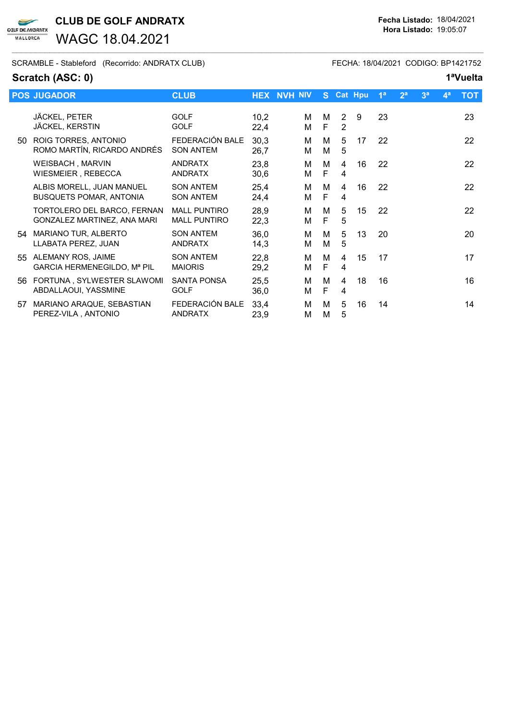CLUB DE GOLF ANDRATX Fecha Listado: 18/04/2021

WAGC 18.04.2021

SCRAMBLE - Stableford (Recorrido: ANDRATX CLUB) FECHA: 18/04/2021 CODIGO: BP1421752

## Scratch (ASC: 0) 1<sup>a</sup>Vuelta

 $\blacktriangleright$ **GOLF DE ANDRATX** MALLORCA

|     | <b>POS JUGADOR</b>                                          | <b>CLUB</b>                                |              | <b>HEX NVH NIV</b> | S.     |                                  | Cat Hpu | 1 <sup>a</sup> | 2 <sup>a</sup> | 3 <sup>a</sup> | 4 <sup>a</sup> | <b>TOT</b> |
|-----|-------------------------------------------------------------|--------------------------------------------|--------------|--------------------|--------|----------------------------------|---------|----------------|----------------|----------------|----------------|------------|
|     | JÄCKEL, PETER<br>JÄCKEL, KERSTIN                            | <b>GOLF</b><br><b>GOLF</b>                 | 10,2<br>22,4 | М<br>м             | M<br>F | $\overline{2}$<br>$\overline{2}$ | 9       | 23             |                |                |                | 23         |
| 50  | ROIG TORRES, ANTONIO<br>ROMO MARTÍN, RICARDO ANDRÉS         | FEDERACIÓN BALE<br><b>SON ANTEM</b>        | 30.3<br>26,7 | М<br>м             | М<br>М | 5<br>5                           | 17      | 22             |                |                |                | 22         |
|     | WEISBACH, MARVIN<br>WIESMEIER, REBECCA                      | <b>ANDRATX</b><br><b>ANDRATX</b>           | 23,8<br>30,6 | Μ<br>Μ             | M<br>F | 4<br>4                           | 16      | 22             |                |                |                | 22         |
|     | ALBIS MORELL, JUAN MANUEL<br><b>BUSQUETS POMAR, ANTONIA</b> | <b>SON ANTEM</b><br><b>SON ANTEM</b>       | 25,4<br>24,4 | м<br>м             | M<br>F | 4<br>4                           | 16      | 22             |                |                |                | 22         |
|     | TORTOLERO DEL BARCO, FERNAN<br>GONZALEZ MARTINEZ, ANA MARI  | <b>MALL PUNTIRO</b><br><b>MALL PUNTIRO</b> | 28,9<br>22,3 | М<br>м             | M<br>F | 5<br>5                           | 15      | 22             |                |                |                | 22         |
| 54  | <b>MARIANO TUR, ALBERTO</b><br>LLABATA PEREZ, JUAN          | <b>SON ANTEM</b><br><b>ANDRATX</b>         | 36,0<br>14,3 | М<br>М             | М<br>М | 5<br>5                           | 13      | 20             |                |                |                | 20         |
| 55. | ALEMANY ROS, JAIME<br>GARCIA HERMENEGILDO, Mª PIL           | <b>SON ANTEM</b><br><b>MAIORIS</b>         | 22,8<br>29,2 | Μ<br>M             | м<br>F | 4<br>4                           | 15      | 17             |                |                |                | 17         |
| 56  | FORTUNA, SYLWESTER SLAWOMI<br>ABDALLAOUI, YASSMINE          | <b>SANTA PONSA</b><br><b>GOLF</b>          | 25,5<br>36,0 | М<br>М             | M<br>F | 4<br>4                           | 18      | 16             |                |                |                | 16         |
| 57  | MARIANO ARAQUE, SEBASTIAN<br>PEREZ-VILA, ANTONIO            | FEDERACIÓN BALE<br><b>ANDRATX</b>          | 33,4<br>23,9 | М<br>M             | M<br>M | 5<br>5                           | 16      | 14             |                |                |                | 14         |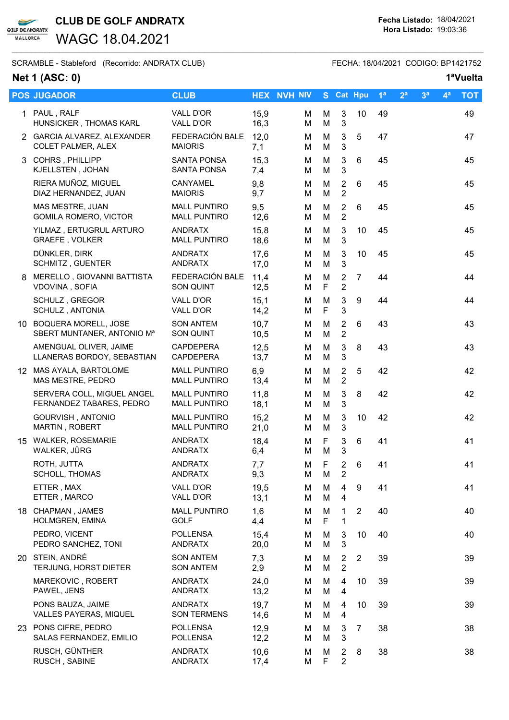$\overline{\phantom{0}}$ **GOLF DE ANDRATX** MALLORCA

WAGC 18.04.2021

SCRAMBLE - Stableford (Recorrido: ANDRATX CLUB) FECHA: 18/04/2021 CODIGO: BP1421752

# Net 1 (ASC: 0) 1<sup>a</sup>Vuelta

|   | <b>POS JUGADOR</b>                                                | <b>CLUB</b>                                |              | <b>HEX NVH NIV</b> |        |                  |                                  | S Cat Hpu      | 1 <sup>a</sup> | 2 <sup>a</sup> | 3 <sup>a</sup> | 4 <sup>a</sup> | <b>TOT</b> |
|---|-------------------------------------------------------------------|--------------------------------------------|--------------|--------------------|--------|------------------|----------------------------------|----------------|----------------|----------------|----------------|----------------|------------|
|   | 1 PAUL, RALF<br>HUNSICKER, THOMAS KARL                            | VALL D'OR<br>VALL D'OR                     | 15,9<br>16,3 |                    | М<br>M | M<br>M           | 3<br>3                           | 10             | 49             |                |                |                | 49         |
|   | 2 GARCIA ALVAREZ, ALEXANDER<br><b>COLET PALMER, ALEX</b>          | FEDERACIÓN BALE<br><b>MAIORIS</b>          | 12,0<br>7,1  |                    | M<br>М | M<br>M           | $\mathbf{3}$<br>3                | 5              | 47             |                |                |                | 47         |
|   | 3 COHRS, PHILLIPP<br>KJELLSTEN, JOHAN                             | <b>SANTA PONSA</b><br><b>SANTA PONSA</b>   | 15,3<br>7,4  |                    | M<br>M | М<br>M           | $\mathbf{3}$<br>3                | 6              | 45             |                |                |                | 45         |
|   | RIERA MUÑOZ, MIGUEL<br>DIAZ HERNANDEZ, JUAN                       | CANYAMEL<br><b>MAIORIS</b>                 | 9,8<br>9,7   |                    | M<br>M | M<br>M           | $\overline{2}$<br>$\overline{2}$ | 6              | 45             |                |                |                | 45         |
|   | MAS MESTRE, JUAN<br>GOMILA ROMERO, VICTOR                         | <b>MALL PUNTIRO</b><br><b>MALL PUNTIRO</b> | 9,5<br>12,6  |                    | М<br>М | М<br>М           | $\overline{2}$<br>$\overline{2}$ | 6              | 45             |                |                |                | 45         |
|   | YILMAZ, ERTUGRUL ARTURO<br><b>GRAEFE, VOLKER</b>                  | <b>ANDRATX</b><br><b>MALL PUNTIRO</b>      | 15,8<br>18,6 |                    | М<br>M | M<br>M           | $\sqrt{3}$<br>3                  | 10             | 45             |                |                |                | 45         |
|   | DÜNKLER, DIRK<br>SCHMITZ, GUENTER                                 | ANDRATX<br>ANDRATX                         | 17,6<br>17,0 |                    | M<br>M | M<br>M           | $\mathbf{3}$<br>3                | 10             | 45             |                |                |                | 45         |
| 8 | MERELLO, GIOVANNI BATTISTA<br>VDOVINA, SOFIA                      | FEDERACIÓN BALE<br><b>SON QUINT</b>        | 11,4<br>12,5 |                    | M<br>М | M<br>F           | $\overline{2}$<br>$\overline{2}$ | $\overline{7}$ | 44             |                |                |                | 44         |
|   | SCHULZ, GREGOR<br>SCHULZ, ANTONIA                                 | VALL D'OR<br>VALL D'OR                     | 15,1<br>14,2 |                    | M<br>М | M<br>F           | $\mathsf 3$<br>3                 | 9              | 44             |                |                |                | 44         |
|   | 10 BOQUERA MORELL, JOSE<br>SBERT MUNTANER, ANTONIO M <sup>a</sup> | <b>SON ANTEM</b><br>SON QUINT              | 10,7<br>10,5 |                    | М<br>M | M<br>M           | $\overline{2}$<br>$\overline{2}$ | 6              | 43             |                |                |                | 43         |
|   | AMENGUAL OLIVER, JAIME<br>LLANERAS BORDOY, SEBASTIAN              | <b>CAPDEPERA</b><br><b>CAPDEPERA</b>       | 12,5<br>13,7 |                    | M<br>M | M<br>M           | $\mathbf{3}$<br>3                | 8              | 43             |                |                |                | 43         |
|   | 12 MAS AYALA, BARTOLOME<br>MAS MESTRE, PEDRO                      | <b>MALL PUNTIRO</b><br><b>MALL PUNTIRO</b> | 6,9<br>13,4  |                    | М<br>M | M<br>M           | $\overline{2}$<br>$\overline{2}$ | 5              | 42             |                |                |                | 42         |
|   | SERVERA COLL, MIGUEL ANGEL<br>FERNANDEZ TABARES, PEDRO            | <b>MALL PUNTIRO</b><br><b>MALL PUNTIRO</b> | 11,8<br>18,1 |                    | M<br>M | M<br>M           | 3<br>3                           | 8              | 42             |                |                |                | 42         |
|   | GOURVISH, ANTONIO<br>MARTIN, ROBERT                               | <b>MALL PUNTIRO</b><br><b>MALL PUNTIRO</b> | 15,2<br>21,0 |                    | м<br>М | M<br>M           | $\mathbf{3}$<br>3                | 10             | 42             |                |                |                | 42         |
|   | 15 WALKER, ROSEMARIE<br>WALKER, JÜRG                              | <b>ANDRATX</b><br><b>ANDRATX</b>           | 18,4<br>6,4  |                    | M<br>М | F<br>M           | $\mathsf 3$<br>3                 | 6              | 41             |                |                |                | 41         |
|   | ROTH, JUTTA<br>SCHOLL, THOMAS                                     | <b>ANDRATX</b><br>ANDRATX                  | 7,7<br>9,3   |                    | M<br>М | F<br>M           | $\overline{2}$<br>2              | 6              | 41             |                |                |                | 41         |
|   | ETTER, MAX<br>ETTER, MARCO                                        | VALL D'OR<br>VALL D'OR                     | 19,5<br>13,1 |                    | М<br>M | М<br>M           | 4<br>4                           | 9              | 41             |                |                |                | 41         |
|   | 18 CHAPMAN, JAMES<br>HOLMGREN, EMINA                              | <b>MALL PUNTIRO</b><br><b>GOLF</b>         | 1,6<br>4,4   |                    | м<br>м | M<br>$\mathsf F$ | 1<br>1                           | $\overline{2}$ | 40             |                |                |                | 40         |
|   | PEDRO, VICENT<br>PEDRO SANCHEZ, TONI                              | <b>POLLENSA</b><br>ANDRATX                 | 15,4<br>20,0 |                    | M<br>м | M<br>M           | 3<br>3                           | 10             | 40             |                |                |                | 40         |
|   | 20 STEIN, ANDRÉ<br>TERJUNG, HORST DIETER                          | <b>SON ANTEM</b><br><b>SON ANTEM</b>       | 7,3<br>2,9   |                    | м<br>M | M<br>M           | 2<br>$\overline{2}$              | $\overline{2}$ | 39             |                |                |                | 39         |
|   | MAREKOVIC, ROBERT<br>PAWEL, JENS                                  | <b>ANDRATX</b><br><b>ANDRATX</b>           | 24,0<br>13,2 |                    | м<br>M | м<br>M           | $\overline{\mathbf{4}}$<br>4     | 10             | 39             |                |                |                | 39         |
|   | PONS BAUZA, JAIME<br>VALLES PAYERAS, MIQUEL                       | <b>ANDRATX</b><br><b>SON TERMENS</b>       | 19,7<br>14,6 |                    | м<br>М | M<br>M           | 4<br>4                           | 10             | 39             |                |                |                | 39         |
|   | 23 PONS CIFRE, PEDRO<br>SALAS FERNANDEZ, EMILIO                   | <b>POLLENSA</b><br><b>POLLENSA</b>         | 12,9<br>12,2 |                    | м<br>м | M<br>M           | 3<br>3                           | $\overline{7}$ | 38             |                |                |                | 38         |
|   | RUSCH, GÜNTHER<br>RUSCH, SABINE                                   | <b>ANDRATX</b><br><b>ANDRATX</b>           | 10,6<br>17,4 |                    | м<br>Μ | M<br>F           | $\overline{2}$<br>$\overline{2}$ | 8              | 38             |                |                |                | 38         |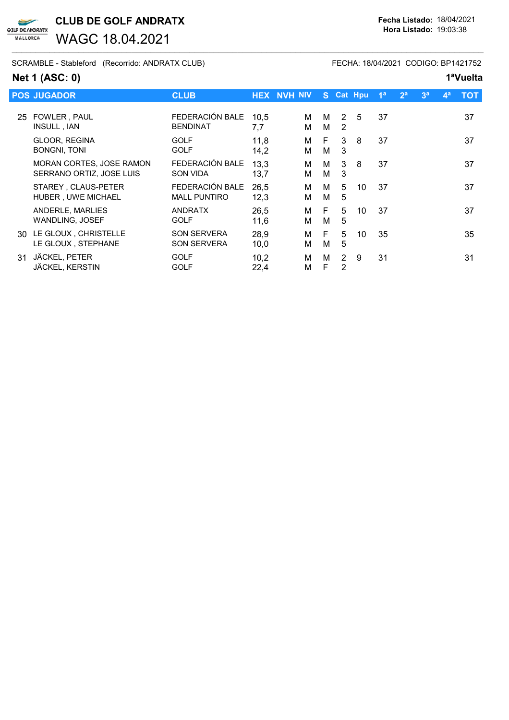CLUB DE GOLF ANDRATX Fecha Listado: 18/04/2021 **GOLF DE ANDRATX** 

WAGC 18.04.2021

SCRAMBLE - Stableford (Recorrido: ANDRATX CLUB) FECHA: 18/04/2021 CODIGO: BP1421752

## Net 1 (ASC: 0) 1<sup>a</sup>Vuelta

 $\blacktriangleright$ 

MALLORCA

|    | <b>POS JUGADOR</b>                                          | <b>CLUB</b>                              |              | <b>HEX NVH NIV</b> |        |                     | S Cat Hpu | 1 <sup>a</sup> | 2 <sup>a</sup> | 3 <sup>a</sup> | $\mathbf{A}^{\mathbf{a}}$ | <b>TOT</b> |
|----|-------------------------------------------------------------|------------------------------------------|--------------|--------------------|--------|---------------------|-----------|----------------|----------------|----------------|---------------------------|------------|
| 25 | FOWLER, PAUL<br>INSULL, IAN                                 | FEDERACIÓN BALE<br><b>BENDINAT</b>       | 10.5<br>7,7  | М<br>М             | м<br>M | 2<br>2              | 5         | 37             |                |                |                           | 37         |
|    | GLOOR, REGINA<br><b>BONGNI, TONI</b>                        | <b>GOLF</b><br><b>GOLF</b>               | 11,8<br>14,2 | м<br>Μ             | F<br>м | 3<br>3              | 8         | 37             |                |                |                           | 37         |
|    | <b>MORAN CORTES, JOSE RAMON</b><br>SERRANO ORTIZ, JOSE LUIS | FEDERACIÓN BALE<br><b>SON VIDA</b>       | 13.3<br>13,7 | м<br>M             | м<br>M | 3<br>3              | 8         | 37             |                |                |                           | 37         |
|    | STAREY, CLAUS-PETER<br><b>HUBER, UWE MICHAEL</b>            | FEDERACIÓN BALE<br><b>MALL PUNTIRO</b>   | 26,5<br>12,3 | м<br>М             | м<br>м | 5<br>5              | 10        | 37             |                |                |                           | 37         |
|    | ANDERLE, MARLIES<br><b>WANDLING, JOSEF</b>                  | <b>ANDRATX</b><br><b>GOLF</b>            | 26,5<br>11,6 | м<br>М             | E<br>м | 5<br>5              | 10        | 37             |                |                |                           | 37         |
|    | 30 LE GLOUX, CHRISTELLE<br>LE GLOUX, STEPHANE               | <b>SON SERVERA</b><br><b>SON SERVERA</b> | 28,9<br>10,0 | м<br>М             | E<br>м | 5<br>5              | 10        | 35             |                |                |                           | 35         |
| 31 | JÄCKEL, PETER<br>JÄCKEL, KERSTIN                            | <b>GOLF</b><br><b>GOLF</b>               | 10,2<br>22,4 | м<br>Μ             | м<br>F | $\overline{2}$<br>2 | 9         | 31             |                |                |                           | 31         |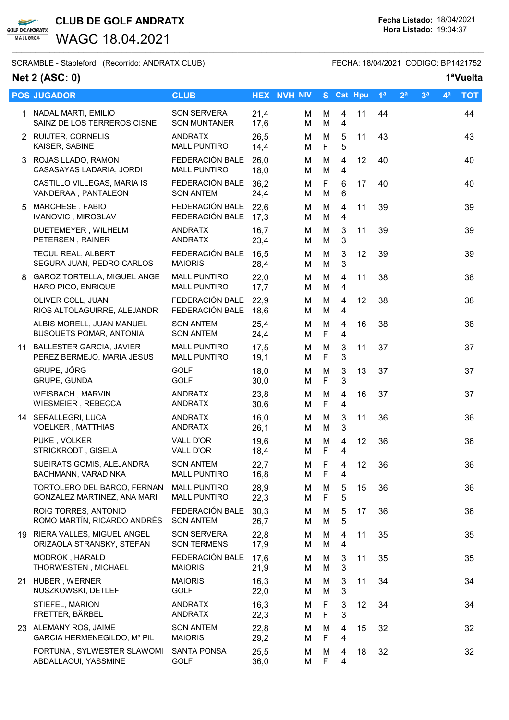

WAGC 18.04.2021

SCRAMBLE - Stableford (Recorrido: ANDRATX CLUB) FECHA: 18/04/2021 CODIGO: BP1421752

## Net 2 (ASC: 0) 1<sup>a</sup>Vuelta

|   | <b>POS JUGADOR</b>                                          | <b>CLUB</b>                                |              | <b>HEX NVH NIV</b> |                  | S Cat Hpu           |    | 1 <sup>a</sup> | 2 <sup>a</sup> | 3 <sup>a</sup> | $4^a$ | <b>TOT</b> |
|---|-------------------------------------------------------------|--------------------------------------------|--------------|--------------------|------------------|---------------------|----|----------------|----------------|----------------|-------|------------|
|   | 1 NADAL MARTI, EMILIO<br>SAINZ DE LOS TERREROS CISNE        | <b>SON SERVERA</b><br><b>SON MUNTANER</b>  | 21,4<br>17,6 | М<br>М             | M<br>M           | 4<br>4              | 11 | 44             |                |                |       | 44         |
|   | 2 RUIJTER, CORNELIS<br>KAISER, SABINE                       | <b>ANDRATX</b><br><b>MALL PUNTIRO</b>      | 26,5<br>14,4 | М<br>М             | M<br>F           | 5<br>5              | 11 | 43             |                |                |       | 43         |
|   | 3 ROJAS LLADO, RAMON<br>CASASAYAS LADARIA, JORDI            | FEDERACIÓN BALE<br><b>MALL PUNTIRO</b>     | 26,0<br>18,0 | М<br>М             | M<br>M           | 4<br>4              | 12 | 40             |                |                |       | 40         |
|   | CASTILLO VILLEGAS, MARIA IS<br>VANDERAA, PANTALEON          | FEDERACIÓN BALE<br><b>SON ANTEM</b>        | 36,2<br>24,4 | M<br>М             | F<br>M           | 6<br>6              | 17 | 40             |                |                |       | 40         |
| 5 | MARCHESE, FABIO<br><b>IVANOVIC, MIROSLAV</b>                | FEDERACIÓN BALE<br>FEDERACIÓN BALE         | 22,6<br>17,3 | M<br>M             | M<br>M           | $\overline{4}$<br>4 | 11 | 39             |                |                |       | 39         |
|   | DUETEMEYER, WILHELM<br>PETERSEN, RAINER                     | <b>ANDRATX</b><br><b>ANDRATX</b>           | 16,7<br>23,4 | M<br>М             | M<br>M           | 3<br>3              | 11 | 39             |                |                |       | 39         |
|   | <b>TECUL REAL, ALBERT</b><br>SEGURA JUAN, PEDRO CARLOS      | FEDERACIÓN BALE<br><b>MAIORIS</b>          | 16,5<br>28,4 | М<br>M             | M<br>M           | 3<br>3              | 12 | 39             |                |                |       | 39         |
|   | 8 GAROZ TORTELLA, MIGUEL ANGE<br>HARO PICO, ENRIQUE         | <b>MALL PUNTIRO</b><br><b>MALL PUNTIRO</b> | 22,0<br>17,7 | M<br>М             | M<br>M           | $\overline{4}$<br>4 | 11 | 38             |                |                |       | 38         |
|   | OLIVER COLL, JUAN<br>RIOS ALTOLAGUIRRE, ALEJANDR            | FEDERACIÓN BALE<br>FEDERACIÓN BALE         | 22,9<br>18,6 | M<br>M             | M<br>M           | 4<br>4              | 12 | 38             |                |                |       | 38         |
|   | ALBIS MORELL, JUAN MANUEL<br><b>BUSQUETS POMAR, ANTONIA</b> | <b>SON ANTEM</b><br><b>SON ANTEM</b>       | 25,4<br>24,4 | M<br>М             | M<br>F           | 4<br>4              | 16 | 38             |                |                |       | 38         |
|   | 11 BALLESTER GARCIA, JAVIER<br>PEREZ BERMEJO, MARIA JESUS   | <b>MALL PUNTIRO</b><br><b>MALL PUNTIRO</b> | 17,5<br>19,1 | М<br>M             | M<br>F           | 3<br>3              | 11 | 37             |                |                |       | 37         |
|   | GRUPE, JÖRG<br>GRUPE, GUNDA                                 | <b>GOLF</b><br><b>GOLF</b>                 | 18,0<br>30,0 | M<br>M             | M<br>F           | 3<br>3              | 13 | 37             |                |                |       | 37         |
|   | WEISBACH, MARVIN<br>WIESMEIER, REBECCA                      | ANDRATX<br><b>ANDRATX</b>                  | 23,8<br>30,6 | M<br>М             | M<br>F           | 4<br>4              | 16 | 37             |                |                |       | 37         |
|   | 14 SERALLEGRI, LUCA<br><b>VOELKER, MATTHIAS</b>             | <b>ANDRATX</b><br><b>ANDRATX</b>           | 16,0<br>26,1 | M<br>М             | M<br>M           | 3<br>3              | 11 | 36             |                |                |       | 36         |
|   | PUKE, VOLKER<br>STRICKRODT, GISELA                          | VALL D'OR<br>VALL D'OR                     | 19,6<br>18,4 | M<br>М             | M<br>$\mathsf F$ | 4<br>4              | 12 | 36             |                |                |       | 36         |
|   | SUBIRATS GOMIS, ALEJANDRA<br>BACHMANN, VARADINKA            | <b>SON ANTEM</b><br><b>MALL PUNTIRO</b>    | 22,7<br>16,8 | М<br>Μ             | F<br>F           | 4<br>4              | 12 | 36             |                |                |       | 36         |
|   | TORTOLERO DEL BARCO, FERNAN<br>GONZALEZ MARTINEZ, ANA MARI  | <b>MALL PUNTIRO</b><br><b>MALL PUNTIRO</b> | 28,9<br>22,3 | M<br>M             | M<br>F           | 5<br>5              | 15 | 36             |                |                |       | 36         |
|   | ROIG TORRES, ANTONIO<br>ROMO MARTÍN, RICARDO ANDRÉS         | FEDERACIÓN BALE<br><b>SON ANTEM</b>        | 30,3<br>26,7 | M<br>M             | M<br>M           | 5<br>5              | 17 | 36             |                |                |       | 36         |
|   | 19 RIERA VALLES, MIGUEL ANGEL<br>ORIZAOLA STRANSKY, STEFAN  | SON SERVERA<br><b>SON TERMENS</b>          | 22,8<br>17,9 | M<br>М             | M<br>M           | 4<br>4              | 11 | 35             |                |                |       | 35         |
|   | MODROK, HARALD<br>THORWESTEN, MICHAEL                       | FEDERACIÓN BALE<br><b>MAIORIS</b>          | 17,6<br>21,9 | M<br>М             | M<br>M           | 3<br>3              | 11 | 35             |                |                |       | 35         |
|   | 21 HUBER, WERNER<br>NUSZKOWSKI, DETLEF                      | <b>MAIORIS</b><br>GOLF                     | 16,3<br>22,0 | м<br>М             | M<br>M           | 3<br>3              | 11 | 34             |                |                |       | 34         |
|   | STIEFEL, MARION<br>FRETTER, BÄRBEL                          | <b>ANDRATX</b><br><b>ANDRATX</b>           | 16,3<br>22,3 | M<br>М             | F<br>F           | 3<br>3              | 12 | 34             |                |                |       | 34         |
|   | 23 ALEMANY ROS, JAIME<br>GARCIA HERMENEGILDO, Mª PIL        | <b>SON ANTEM</b><br><b>MAIORIS</b>         | 22,8<br>29,2 | M<br>М             | M<br>F           | 4<br>4              | 15 | 32             |                |                |       | 32         |
|   | FORTUNA, SYLWESTER SLAWOMI<br>ABDALLAOUI, YASSMINE          | SANTA PONSA<br><b>GOLF</b>                 | 25,5<br>36,0 | M<br>M             | M<br>F           | 4<br>4              | 18 | 32             |                |                |       | 32         |